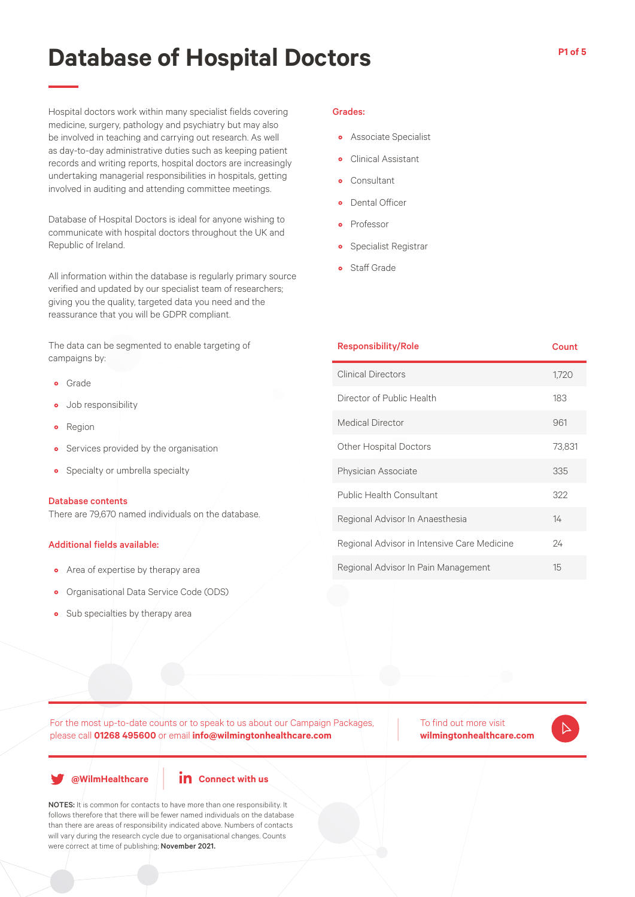Hospital doctors work within many specialist fields covering medicine, surgery, pathology and psychiatry but may also be involved in teaching and carrying out research. As well as day-to-day administrative duties such as keeping patient records and writing reports, hospital doctors are increasingly undertaking managerial responsibilities in hospitals, getting involved in auditing and attending committee meetings.

Database of Hospital Doctors is ideal for anyone wishing to communicate with hospital doctors throughout the UK and Republic of Ireland.

All information within the database is regularly primary source verified and updated by our specialist team of researchers; giving you the quality, targeted data you need and the reassurance that you will be GDPR compliant.

The data can be segmented to enable targeting of campaigns by:

- Grade
- Job responsibility
- Region
- Services provided by the organisation
- Specialty or umbrella specialty

#### Database contents

There are 79,670 named individuals on the database.

#### Additional fields available:

- Area of expertise by therapy area
- Organisational Data Service Code (ODS)
- Sub specialties by therapy area

#### Grades:

- Associate Specialist
- Clinical Assistant
- Consultant
- Dental Officer
- **Professor**
- Specialist Registrar
- Staff Grade

| <b>Responsibility/Role</b>                  | Count  |
|---------------------------------------------|--------|
| <b>Clinical Directors</b>                   | 1,720  |
| Director of Public Health                   | 183    |
| <b>Medical Director</b>                     | 961    |
| <b>Other Hospital Doctors</b>               | 73,831 |
| Physician Associate                         | 335    |
| <b>Public Health Consultant</b>             | 322    |
| Regional Advisor In Anaesthesia             | 14     |
| Regional Advisor in Intensive Care Medicine | 24     |
| Regional Advisor In Pain Management         | 15     |

For the most up-to-date counts or to speak to us about our Campaign Packages, please call **01268 495600** or email **info@wilmingtonhealthcare.com**

**@WilmHealthcare**



NOTES: It is common for contacts to have more than one responsibility. It follows therefore that there will be fewer named individuals on the database than there are areas of responsibility indicated above. Numbers of contacts will vary during the research cycle due to organisational changes. Counts were correct at time of publishing; November 2021.

To find out more visit **wilmingtonhealthcare.com**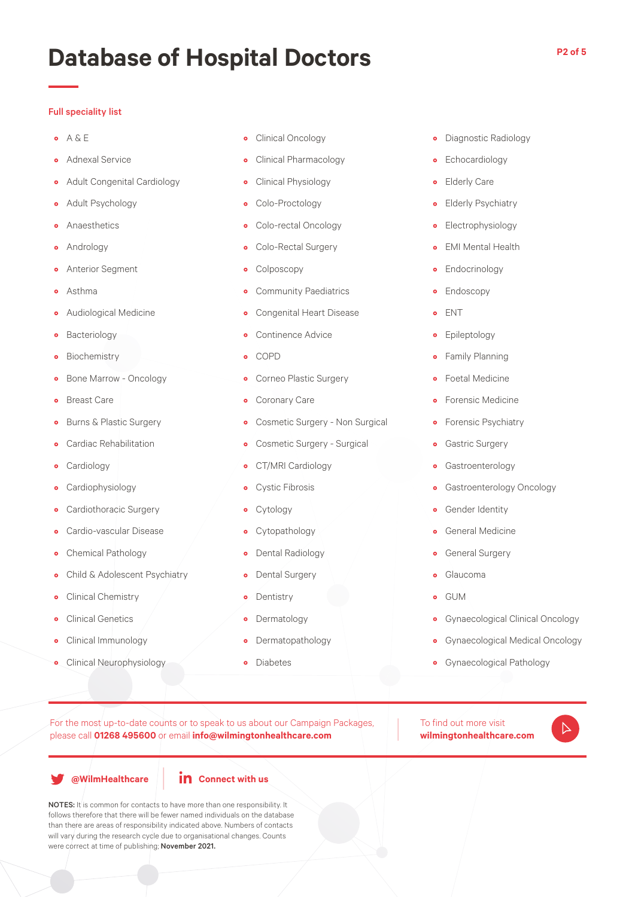### Full speciality list

- $\bullet$  A & E
- Adnexal Service
- Adult Congenital Cardiology
- Adult Psychology
- Anaesthetics
- Andrology
- Anterior Segment
- Asthma
- Audiological Medicine
- Bacteriology
- Biochemistry
- Bone Marrow Oncology
- Breast Care
- Burns & Plastic Surgery
- Cardiac Rehabilitation
- Cardiology
- Cardiophysiology
- Cardiothoracic Surgery
- Cardio-vascular Disease
- Chemical Pathology
- Child & Adolescent Psychiatry
- Clinical Chemistry
- Clinical Genetics
- Clinical Immunology
- Clinical Neurophysiology
- Clinical Oncology
- Clinical Pharmacology
- Clinical Physiology
- Colo-Proctology
- Colo-rectal Oncology
- Colo-Rectal Surgery
- Colposcopy
- Community Paediatrics
- Congenital Heart Disease
- Continence Advice
- COPD
- Corneo Plastic Surgery
- Coronary Care
- Cosmetic Surgery Non Surgical
- Cosmetic Surgery Surgical
- CT/MRI Cardiology
- Cystic Fibrosis
- Cytology
- Cytopathology
- Dental Radiology
- Dental Surgery
- Dentistry
- Dermatology
- Dermatopathology
- Diabetes
- Diagnostic Radiology
- Echocardiology
- Elderly Care
- Elderly Psychiatry
- Electrophysiology
- EMI Mental Health
- Endocrinology
- Endoscopy
- ENT
- Epileptology
- Family Planning
- Foetal Medicine
- Forensic Medicine
- Forensic Psychiatry
- Gastric Surgery
- Gastroenterology
- Gastroenterology Oncology
- **•** Gender Identity
- General Medicine
- General Surgery
- Glaucoma
- GUM
- Gynaecological Clinical Oncology
- Gynaecological Medical Oncology
- Gynaecological Pathology

For the most up-to-date counts or to speak to us about our Campaign Packages, please call **01268 495600** or email **info@wilmingtonhealthcare.com**

**@WilmHealthcare**



NOTES: It is common for contacts to have more than one responsibility. It follows therefore that there will be fewer named individuals on the database than there are areas of responsibility indicated above. Numbers of contacts will vary during the research cycle due to organisational changes. Counts were correct at time of publishing; November 2021.

To find out more visit **wilmingtonhealthcare.com**

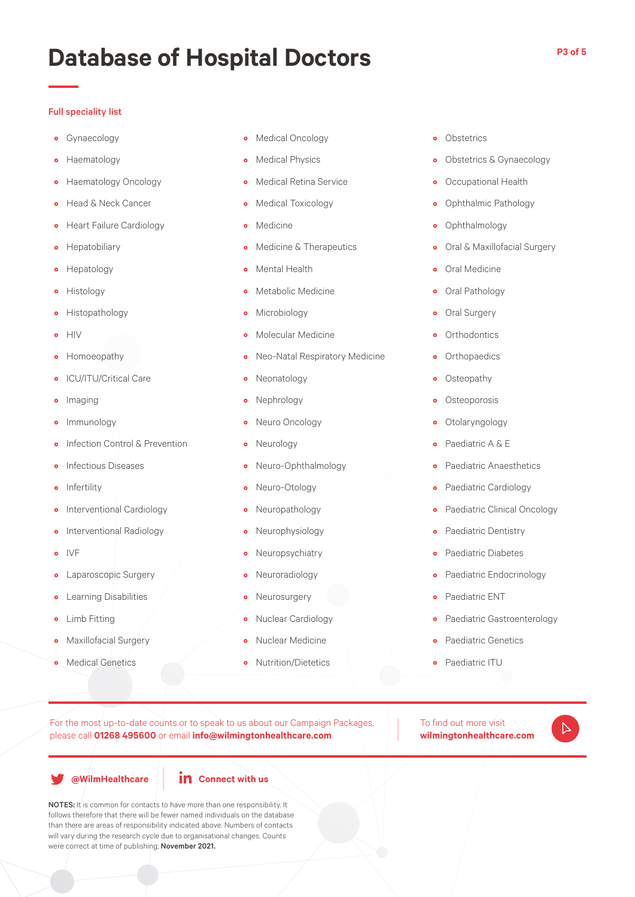### Full speciality list

- Gynaecology
- Haematology
- Haematology Oncology
- Head & Neck Cancer
- Heart Failure Cardiology
- Hepatobiliary
- Hepatology
- Histology
- Histopathology
- HIV
- Homoeopathy
- ICU/ITU/Critical Care
- Imaging
- Immunology
- Infection Control & Prevention
- **•** Infectious Diseases
- Infertility
- Interventional Cardiology
- Interventional Radiology
- IVF
- Laparoscopic Surgery
- **•** Learning Disabilities
- Limb Fitting
- Maxillofacial Surgery
- Medical Genetics
- Medical Oncology
- Medical Physics
- Medical Retina Service
- Medical Toxicology
- Medicine
- Medicine & Therapeutics
- Mental Health
- Metabolic Medicine
- Microbiology
- Molecular Medicine
- Neo-Natal Respiratory Medicine
- Neonatology
- Nephrology
- Neuro Oncology
- Neurology
- Neuro-Ophthalmology
- Neuro-Otology
- Neuropathology
- Neurophysiology
- Neuropsychiatry
- Neuroradiology
- Neurosurgery
- Nuclear Cardiology
- Nuclear Medicine
- Nutrition/Dietetics
- Obstetrics
- Obstetrics & Gynaecology
- Occupational Health
- Ophthalmic Pathology
- Ophthalmology
- Oral & Maxillofacial Surgery
- Oral Medicine
- Oral Pathology
- Oral Surgery
- **•** Orthodontics
- Orthopaedics
- Osteopathy
- Osteoporosis
- Otolaryngology
- Paediatric A & E
- Paediatric Anaesthetics
- Paediatric Cardiology
- Paediatric Clinical Oncology
- Paediatric Dentistry
- Paediatric Diabetes
- Paediatric Endocrinology
- Paediatric ENT
- Paediatric Gastroenterology

 $\triangleright$ 

- Paediatric Genetics
- Paediatric ITU

To find out more visit **wilmingtonhealthcare.com**

For the most up-to-date counts or to speak to us about our Campaign Packages, please call **01268 495600** or email **info@wilmingtonhealthcare.com**

**@WilmHealthcare**



NOTES: It is common for contacts to have more than one responsibility. It follows therefore that there will be fewer named individuals on the database than there are areas of responsibility indicated above. Numbers of contacts will vary during the research cycle due to organisational changes. Counts were correct at time of publishing; November 2021.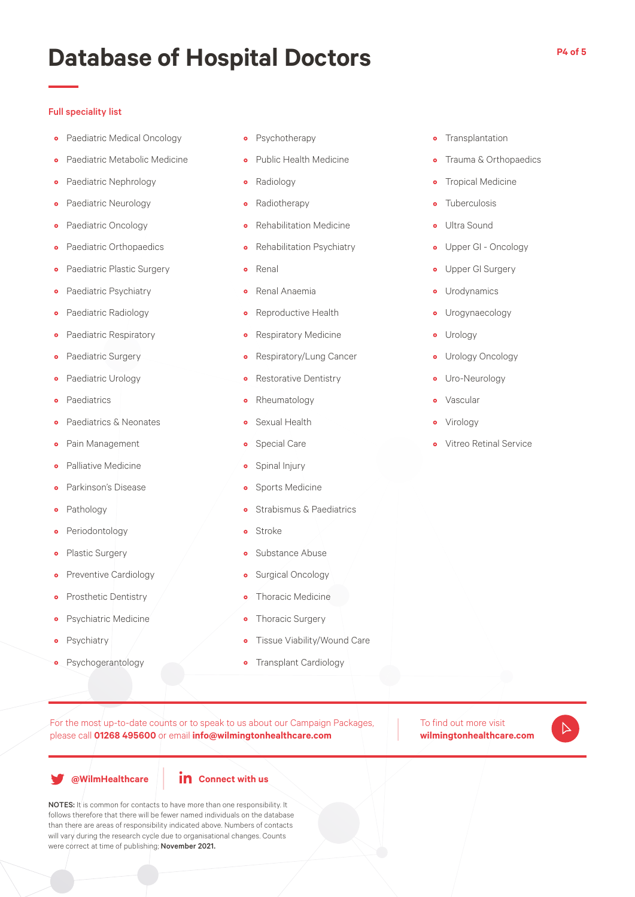#### Full speciality list

- Paediatric Medical Oncology
- Paediatric Metabolic Medicine
- **•** Paediatric Nephrology
- Paediatric Neurology
- Paediatric Oncology
- Paediatric Orthopaedics
- Paediatric Plastic Surgery
- Paediatric Psychiatry
- Paediatric Radiology
- Paediatric Respiratory
- Paediatric Surgery
- Paediatric Urology
- **Paediatrics**
- Paediatrics & Neonates
- Pain Management
- Palliative Medicine
- Parkinson's Disease
- Pathology
- Periodontology
- Plastic Surgery
- **•** Preventive Cardiology
- **•** Prosthetic Dentistry
- Psychiatric Medicine
- Psychiatry
- Psychogerantology
- Psychotherapy
- Public Health Medicine
- Radiology
- Radiotherapy
- Rehabilitation Medicine
- Rehabilitation Psychiatry
- Renal
- Renal Anaemia
- Reproductive Health
- Respiratory Medicine
- Respiratory/Lung Cancer
- Restorative Dentistry
- Rheumatology
- Sexual Health
- Special Care
- Spinal Injury
- Sports Medicine
- **•** Strabismus & Paediatrics
- Stroke
- Substance Abuse
- Surgical Oncology
- Thoracic Medicine
- Thoracic Surgery
- Tissue Viability/Wound Care
- Transplant Cardiology
- Transplantation
- **•** Trauma & Orthopaedics
- **•** Tropical Medicine
- Tuberculosis
- Ultra Sound
- Upper GI Oncology
- Upper GI Surgery
- Urodynamics
- Urogynaecology
- Urology
- Urology Oncology
- Uro-Neurology
- Vascular
- Virology
- Vitreo Retinal Service

To find out more visit **wilmingtonhealthcare.com**

 $\triangleright$ 

**@WilmHealthcare**



For the most up-to-date counts or to speak to us about our Campaign Packages,

please call **01268 495600** or email **info@wilmingtonhealthcare.com**

NOTES: It is common for contacts to have more than one responsibility. It follows therefore that there will be fewer named individuals on the database than there are areas of responsibility indicated above. Numbers of contacts will vary during the research cycle due to organisational changes. Counts were correct at time of publishing; November 2021.

**P4 of 5**